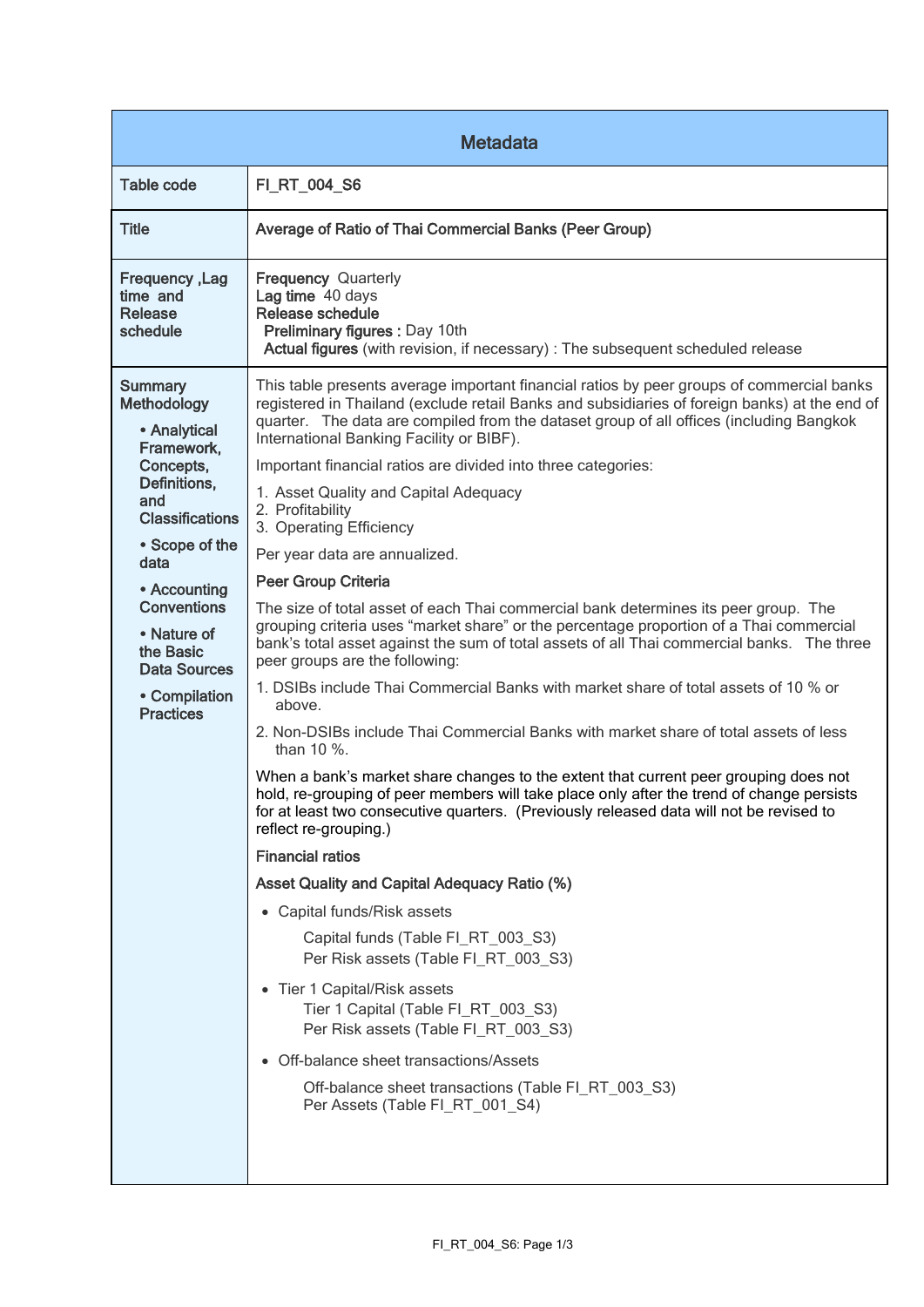| <b>Metadata</b>                                                                                                                                                                                                                                                                          |                                                                                                                                                                                                                                                                                                                                                                                                                                                                                                                                                                                                                                                                                                                                                                                                                                                                                                                                                                                                                                                                                                                                                                                                                                                                                                                                                                                                                                                                                                                                                                                                                                                                                                                                                                                                                                                |  |
|------------------------------------------------------------------------------------------------------------------------------------------------------------------------------------------------------------------------------------------------------------------------------------------|------------------------------------------------------------------------------------------------------------------------------------------------------------------------------------------------------------------------------------------------------------------------------------------------------------------------------------------------------------------------------------------------------------------------------------------------------------------------------------------------------------------------------------------------------------------------------------------------------------------------------------------------------------------------------------------------------------------------------------------------------------------------------------------------------------------------------------------------------------------------------------------------------------------------------------------------------------------------------------------------------------------------------------------------------------------------------------------------------------------------------------------------------------------------------------------------------------------------------------------------------------------------------------------------------------------------------------------------------------------------------------------------------------------------------------------------------------------------------------------------------------------------------------------------------------------------------------------------------------------------------------------------------------------------------------------------------------------------------------------------------------------------------------------------------------------------------------------------|--|
| <b>Table code</b>                                                                                                                                                                                                                                                                        | FI_RT_004_S6                                                                                                                                                                                                                                                                                                                                                                                                                                                                                                                                                                                                                                                                                                                                                                                                                                                                                                                                                                                                                                                                                                                                                                                                                                                                                                                                                                                                                                                                                                                                                                                                                                                                                                                                                                                                                                   |  |
| <b>Title</b>                                                                                                                                                                                                                                                                             | Average of Ratio of Thai Commercial Banks (Peer Group)                                                                                                                                                                                                                                                                                                                                                                                                                                                                                                                                                                                                                                                                                                                                                                                                                                                                                                                                                                                                                                                                                                                                                                                                                                                                                                                                                                                                                                                                                                                                                                                                                                                                                                                                                                                         |  |
| <b>Frequency, Lag</b><br>time and<br>Release<br>schedule                                                                                                                                                                                                                                 | <b>Frequency Quarterly</b><br>Lag time 40 days<br>Release schedule<br>Preliminary figures : Day 10th<br>Actual figures (with revision, if necessary) : The subsequent scheduled release                                                                                                                                                                                                                                                                                                                                                                                                                                                                                                                                                                                                                                                                                                                                                                                                                                                                                                                                                                                                                                                                                                                                                                                                                                                                                                                                                                                                                                                                                                                                                                                                                                                        |  |
| <b>Summary</b><br><b>Methodology</b><br>• Analytical<br>Framework,<br>Concepts,<br>Definitions,<br>and<br><b>Classifications</b><br>• Scope of the<br>data<br>• Accounting<br><b>Conventions</b><br>• Nature of<br>the Basic<br><b>Data Sources</b><br>• Compilation<br><b>Practices</b> | This table presents average important financial ratios by peer groups of commercial banks<br>registered in Thailand (exclude retail Banks and subsidiaries of foreign banks) at the end of<br>quarter. The data are compiled from the dataset group of all offices (including Bangkok<br>International Banking Facility or BIBF).<br>Important financial ratios are divided into three categories:<br>1. Asset Quality and Capital Adequacy<br>2. Profitability<br>3. Operating Efficiency<br>Per year data are annualized.<br><b>Peer Group Criteria</b><br>The size of total asset of each Thai commercial bank determines its peer group. The<br>grouping criteria uses "market share" or the percentage proportion of a Thai commercial<br>bank's total asset against the sum of total assets of all Thai commercial banks. The three<br>peer groups are the following:<br>1. DSIBs include Thai Commercial Banks with market share of total assets of 10 % or<br>above.<br>2. Non-DSIBs include Thai Commercial Banks with market share of total assets of less<br>than 10 %.<br>When a bank's market share changes to the extent that current peer grouping does not<br>hold, re-grouping of peer members will take place only after the trend of change persists<br>for at least two consecutive quarters. (Previously released data will not be revised to<br>reflect re-grouping.)<br><b>Financial ratios</b><br><b>Asset Quality and Capital Adequacy Ratio (%)</b><br>• Capital funds/Risk assets<br>Capital funds (Table FI_RT_003_S3)<br>Per Risk assets (Table FI_RT_003_S3)<br>• Tier 1 Capital/Risk assets<br>Tier 1 Capital (Table FI_RT_003_S3)<br>Per Risk assets (Table FI_RT_003_S3)<br>• Off-balance sheet transactions/Assets<br>Off-balance sheet transactions (Table FI_RT_003_S3)<br>Per Assets (Table FI_RT_001_S4) |  |
|                                                                                                                                                                                                                                                                                          |                                                                                                                                                                                                                                                                                                                                                                                                                                                                                                                                                                                                                                                                                                                                                                                                                                                                                                                                                                                                                                                                                                                                                                                                                                                                                                                                                                                                                                                                                                                                                                                                                                                                                                                                                                                                                                                |  |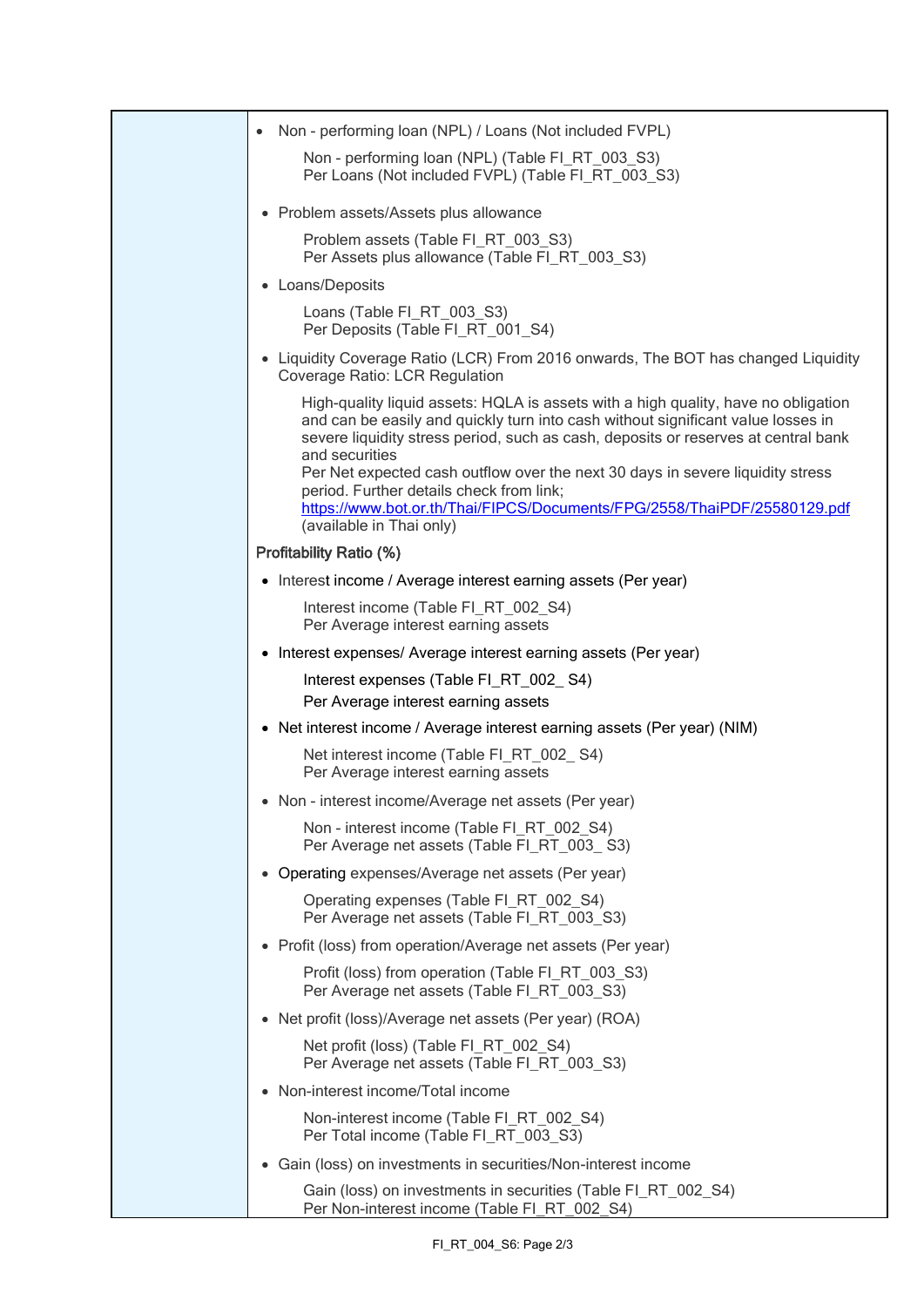| Non - performing loan (NPL) / Loans (Not included FVPL)                                                                                                                                                                                                                                                                                                                                                                                                                                                              |
|----------------------------------------------------------------------------------------------------------------------------------------------------------------------------------------------------------------------------------------------------------------------------------------------------------------------------------------------------------------------------------------------------------------------------------------------------------------------------------------------------------------------|
| Non - performing loan (NPL) (Table FI_RT_003_S3)<br>Per Loans (Not included FVPL) (Table FI_RT_003_S3)                                                                                                                                                                                                                                                                                                                                                                                                               |
| • Problem assets/Assets plus allowance                                                                                                                                                                                                                                                                                                                                                                                                                                                                               |
| Problem assets (Table FI_RT_003_S3)<br>Per Assets plus allowance (Table FI RT 003 S3)                                                                                                                                                                                                                                                                                                                                                                                                                                |
| • Loans/Deposits                                                                                                                                                                                                                                                                                                                                                                                                                                                                                                     |
| Loans (Table FI_RT_003_S3)<br>Per Deposits (Table FI RT 001 S4)                                                                                                                                                                                                                                                                                                                                                                                                                                                      |
| • Liquidity Coverage Ratio (LCR) From 2016 onwards, The BOT has changed Liquidity<br>Coverage Ratio: LCR Regulation                                                                                                                                                                                                                                                                                                                                                                                                  |
| High-quality liquid assets: HQLA is assets with a high quality, have no obligation<br>and can be easily and quickly turn into cash without significant value losses in<br>severe liquidity stress period, such as cash, deposits or reserves at central bank<br>and securities<br>Per Net expected cash outflow over the next 30 days in severe liquidity stress<br>period. Further details check from link;<br>https://www.bot.or.th/Thai/FIPCS/Documents/FPG/2558/ThaiPDF/25580129.pdf<br>(available in Thai only) |
| <b>Profitability Ratio (%)</b>                                                                                                                                                                                                                                                                                                                                                                                                                                                                                       |
| • Interest income / Average interest earning assets (Per year)                                                                                                                                                                                                                                                                                                                                                                                                                                                       |
| Interest income (Table FI_RT_002_S4)<br>Per Average interest earning assets                                                                                                                                                                                                                                                                                                                                                                                                                                          |
| • Interest expenses/ Average interest earning assets (Per year)                                                                                                                                                                                                                                                                                                                                                                                                                                                      |
| Interest expenses (Table FI_RT_002_S4)<br>Per Average interest earning assets                                                                                                                                                                                                                                                                                                                                                                                                                                        |
| • Net interest income / Average interest earning assets (Per year) (NIM)                                                                                                                                                                                                                                                                                                                                                                                                                                             |
| Net interest income (Table FI_RT_002_S4)<br>Per Average interest earning assets                                                                                                                                                                                                                                                                                                                                                                                                                                      |
| • Non - interest income/Average net assets (Per year)                                                                                                                                                                                                                                                                                                                                                                                                                                                                |
| Non - interest income (Table FI_RT_002_S4)<br>Per Average net assets (Table FI_RT_003_S3)                                                                                                                                                                                                                                                                                                                                                                                                                            |
| • Operating expenses/Average net assets (Per year)                                                                                                                                                                                                                                                                                                                                                                                                                                                                   |
| Operating expenses (Table FI RT 002 S4)<br>Per Average net assets (Table FI RT 003 S3)                                                                                                                                                                                                                                                                                                                                                                                                                               |
| • Profit (loss) from operation/Average net assets (Per year)                                                                                                                                                                                                                                                                                                                                                                                                                                                         |
| Profit (loss) from operation (Table FI_RT_003_S3)<br>Per Average net assets (Table FI_RT_003_S3)                                                                                                                                                                                                                                                                                                                                                                                                                     |
| • Net profit (loss)/Average net assets (Per year) (ROA)                                                                                                                                                                                                                                                                                                                                                                                                                                                              |
| Net profit (loss) (Table FI_RT_002_S4)<br>Per Average net assets (Table FI_RT_003_S3)                                                                                                                                                                                                                                                                                                                                                                                                                                |
| • Non-interest income/Total income                                                                                                                                                                                                                                                                                                                                                                                                                                                                                   |
| Non-interest income (Table FI_RT_002_S4)<br>Per Total income (Table FI_RT_003_S3)                                                                                                                                                                                                                                                                                                                                                                                                                                    |
| • Gain (loss) on investments in securities/Non-interest income                                                                                                                                                                                                                                                                                                                                                                                                                                                       |
| Gain (loss) on investments in securities (Table FI_RT_002_S4)<br>Per Non-interest income (Table FI_RT_002_S4)                                                                                                                                                                                                                                                                                                                                                                                                        |